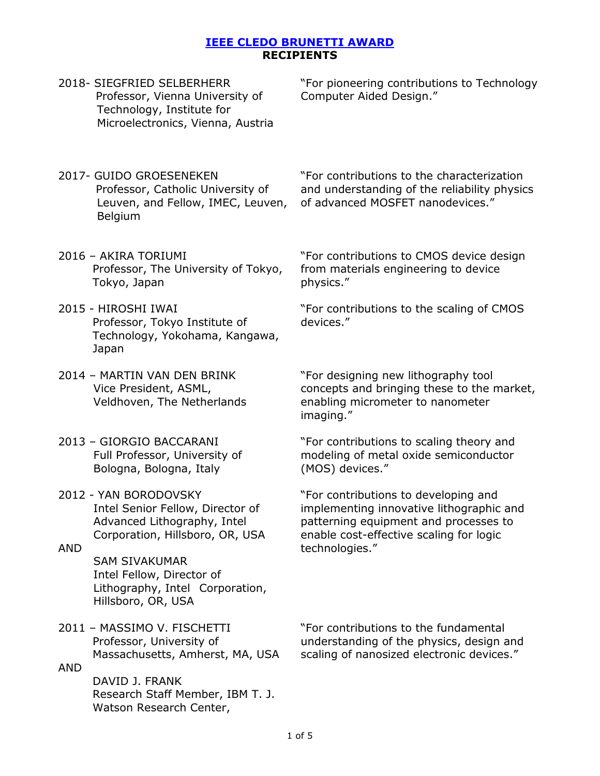|            | 2018- SIEGFRIED SELBERHERR<br>Professor, Vienna University of<br>Technology, Institute for<br>Microelectronics, Vienna, Austria | "For pioneering contributions to Technology<br>Computer Aided Design."                                                                                                                 |
|------------|---------------------------------------------------------------------------------------------------------------------------------|----------------------------------------------------------------------------------------------------------------------------------------------------------------------------------------|
|            | 2017- GUIDO GROESENEKEN<br>Professor, Catholic University of<br>Leuven, and Fellow, IMEC, Leuven,<br>Belgium                    | "For contributions to the characterization<br>and understanding of the reliability physics<br>of advanced MOSFET nanodevices."                                                         |
|            | 2016 - AKIRA TORIUMI<br>Professor, The University of Tokyo,<br>Tokyo, Japan                                                     | "For contributions to CMOS device design<br>from materials engineering to device<br>physics."                                                                                          |
|            | 2015 - HIROSHI IWAI<br>Professor, Tokyo Institute of<br>Technology, Yokohama, Kangawa,<br>Japan                                 | "For contributions to the scaling of CMOS<br>devices."                                                                                                                                 |
|            | 2014 - MARTIN VAN DEN BRINK<br>Vice President, ASML,<br>Veldhoven, The Netherlands                                              | "For designing new lithography tool<br>concepts and bringing these to the market,<br>enabling micrometer to nanometer<br>imaging."                                                     |
|            | 2013 - GIORGIO BACCARANI<br>Full Professor, University of<br>Bologna, Bologna, Italy                                            | "For contributions to scaling theory and<br>modeling of metal oxide semiconductor<br>(MOS) devices."                                                                                   |
| <b>AND</b> | 2012 - YAN BORODOVSKY<br>Intel Senior Fellow, Director of<br>Advanced Lithography, Intel<br>Corporation, Hillsboro, OR, USA     | "For contributions to developing and<br>implementing innovative lithographic and<br>patterning equipment and processes to<br>enable cost-effective scaling for logic<br>technologies." |
|            | <b>SAM SIVAKUMAR</b><br>Intel Fellow, Director of<br>Lithography, Intel Corporation,<br>Hillsboro, OR, USA                      |                                                                                                                                                                                        |
| <b>AND</b> | 2011 - MASSIMO V. FISCHETTI<br>Professor, University of<br>Massachusetts, Amherst, MA, USA                                      | "For contributions to the fundamental<br>understanding of the physics, design and<br>scaling of nanosized electronic devices."                                                         |
|            | DAVID J. FRANK<br>Research Staff Member, IBM T. J.<br>Watson Research Center,                                                   |                                                                                                                                                                                        |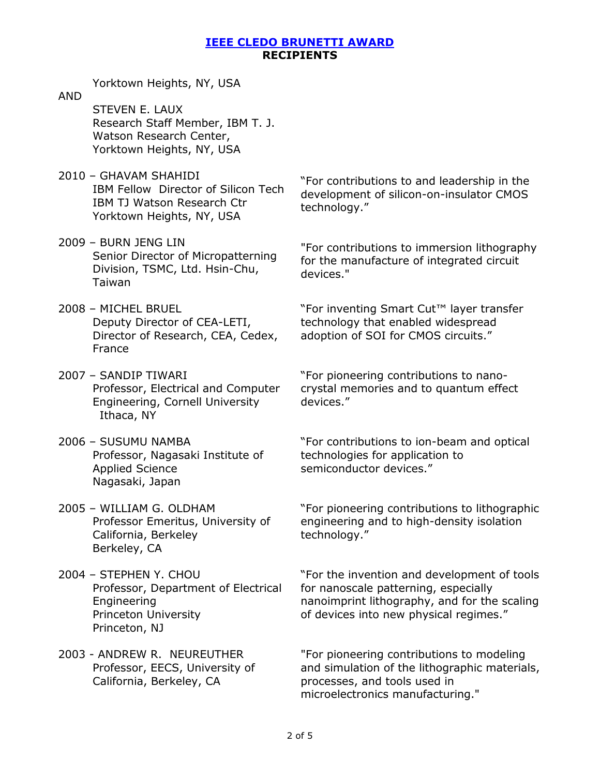Yorktown Heights, NY, USA

- AND STEVEN E. LAUX Research Staff Member, IBM T. J. Watson Research Center, Yorktown Heights, NY, USA
- 2010 GHAVAM SHAHIDI IBM Fellow Director of Silicon Tech IBM TJ Watson Research Ctr Yorktown Heights, NY, USA
- 2009 BURN JENG LIN Senior Director of Micropatterning Division, TSMC, Ltd. Hsin-Chu, Taiwan
- 2008 MICHEL BRUEL Deputy Director of CEA-LETI, Director of Research, CEA, Cedex, France
- 2007 SANDIP TIWARI Professor, Electrical and Computer Engineering, Cornell University Ithaca, NY
- 2006 SUSUMU NAMBA Professor, Nagasaki Institute of Applied Science Nagasaki, Japan
- 2005 WILLIAM G. OLDHAM Professor Emeritus, University of California, Berkeley Berkeley, CA
- 2004 STEPHEN Y. CHOU Professor, Department of Electrical Engineering Princeton University Princeton, NJ
- 2003 ANDREW R. NEUREUTHER Professor, EECS, University of California, Berkeley, CA

"For contributions to and leadership in the development of silicon-on-insulator CMOS technology."

"For contributions to immersion lithography for the manufacture of integrated circuit devices."

"For inventing Smart Cut™ layer transfer technology that enabled widespread adoption of SOI for CMOS circuits."

"For pioneering contributions to nanocrystal memories and to quantum effect devices."

"For contributions to ion-beam and optical technologies for application to semiconductor devices."

"For pioneering contributions to lithographic engineering and to high-density isolation technology."

"For the invention and development of tools for nanoscale patterning, especially nanoimprint lithography, and for the scaling of devices into new physical regimes."

"For pioneering contributions to modeling and simulation of the lithographic materials, processes, and tools used in microelectronics manufacturing."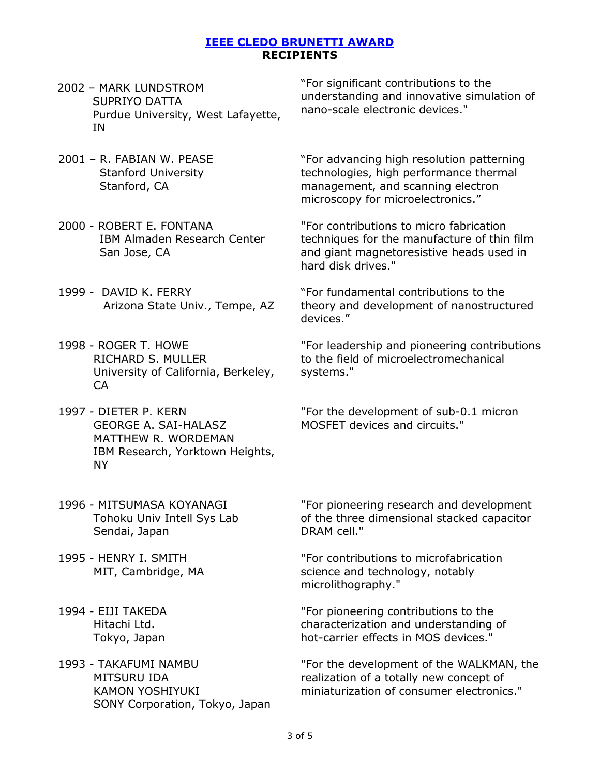- 2002 MARK LUNDSTROM SUPRIYO DATTA Purdue University, West Lafayette, IN
- 2001 R. FABIAN W. PEASE Stanford University Stanford, CA
- 2000 ROBERT E. FONTANA IBM Almaden Research Center San Jose, CA
- 1999 DAVID K. FERRY Arizona State Univ., Tempe, AZ
- 1998 ROGER T. HOWE RICHARD S. MULLER University of California, Berkeley, CA
- 1997 DIETER P. KERN GEORGE A. SAI-HALASZ MATTHEW R. WORDEMAN IBM Research, Yorktown Heights, NY
- 1996 MITSUMASA KOYANAGI Tohoku Univ Intell Sys Lab Sendai, Japan
- 1995 HENRY I. SMITH MIT, Cambridge, MA
- 1994 EIJI TAKEDA Hitachi Ltd. Tokyo, Japan
- 1993 TAKAFUMI NAMBU MITSURU IDA KAMON YOSHIYUKI SONY Corporation, Tokyo, Japan

"For significant contributions to the understanding and innovative simulation of nano-scale electronic devices."

"For advancing high resolution patterning technologies, high performance thermal management, and scanning electron microscopy for microelectronics."

"For contributions to micro fabrication techniques for the manufacture of thin film and giant magnetoresistive heads used in hard disk drives."

"For fundamental contributions to the theory and development of nanostructured devices."

"For leadership and pioneering contributions to the field of microelectromechanical systems."

"For the development of sub-0.1 micron MOSFET devices and circuits."

"For pioneering research and development of the three dimensional stacked capacitor DRAM cell."

"For contributions to microfabrication science and technology, notably microlithography."

"For pioneering contributions to the characterization and understanding of hot-carrier effects in MOS devices."

"For the development of the WALKMAN, the realization of a totally new concept of miniaturization of consumer electronics."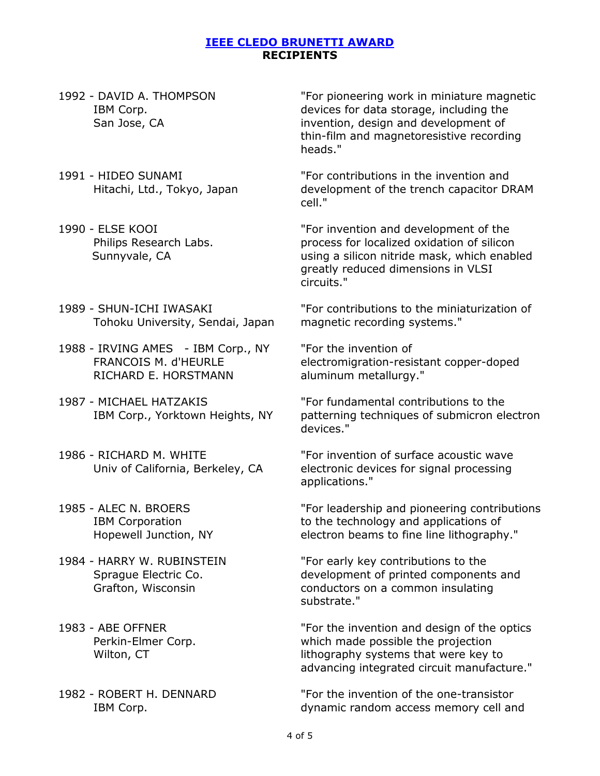- 1992 DAVID A. THOMPSON IBM Corp. San Jose, CA
- 1991 HIDEO SUNAMI Hitachi, Ltd., Tokyo, Japan
- 1990 ELSE KOOI Philips Research Labs. Sunnyvale, CA
- 1989 SHUN-ICHI IWASAKI Tohoku University, Sendai, Japan
- 1988 IRVING AMES IBM Corp., NY FRANCOIS M. d'HEURLE RICHARD E. HORSTMANN
- 1987 MICHAEL HATZAKIS IBM Corp., Yorktown Heights, NY
- 1986 RICHARD M. WHITE Univ of California, Berkeley, CA
- 1985 ALEC N. BROERS IBM Corporation Hopewell Junction, NY
- 1984 HARRY W. RUBINSTEIN Sprague Electric Co. Grafton, Wisconsin
- 1983 ABE OFFNER Perkin-Elmer Corp. Wilton, CT
- 1982 ROBERT H. DENNARD IBM Corp.

"For pioneering work in miniature magnetic devices for data storage, including the invention, design and development of thin-film and magnetoresistive recording heads."

"For contributions in the invention and development of the trench capacitor DRAM cell."

"For invention and development of the process for localized oxidation of silicon using a silicon nitride mask, which enabled greatly reduced dimensions in VLSI circuits."

"For contributions to the miniaturization of magnetic recording systems."

"For the invention of electromigration-resistant copper-doped aluminum metallurgy."

"For fundamental contributions to the patterning techniques of submicron electron devices."

"For invention of surface acoustic wave electronic devices for signal processing applications."

"For leadership and pioneering contributions to the technology and applications of electron beams to fine line lithography."

"For early key contributions to the development of printed components and conductors on a common insulating substrate."

"For the invention and design of the optics which made possible the projection lithography systems that were key to advancing integrated circuit manufacture."

"For the invention of the one-transistor dynamic random access memory cell and